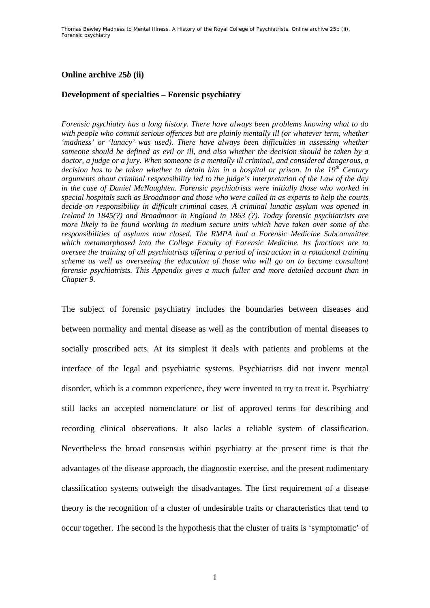# **Online archive 25***b* **(ii)**

## **Development of specialties – Forensic psychiatry**

*Forensic psychiatry has a long history. There have always been problems knowing what to do with people who commit serious offences but are plainly mentally ill (or whatever term, whether 'madness' or 'lunacy' was used). There have always been difficulties in assessing whether someone should be defined as evil or ill, and also whether the decision should be taken by a doctor, a judge or a jury. When someone is a mentally ill criminal, and considered dangerous, a decision has to be taken whether to detain him in a hospital or prison. In the 19th Century arguments about criminal responsibility led to the judge's interpretation of the Law of the day in the case of Daniel McNaughten. Forensic psychiatrists were initially those who worked in special hospitals such as Broadmoor and those who were called in as experts to help the courts decide on responsibility in difficult criminal cases. A criminal lunatic asylum was opened in Ireland in 1845(?) and Broadmoor in England in 1863 (?). Today forensic psychiatrists are more likely to be found working in medium secure units which have taken over some of the responsibilities of asylums now closed. The RMPA had a Forensic Medicine Subcommittee which metamorphosed into the College Faculty of Forensic Medicine. Its functions are to oversee the training of all psychiatrists offering a period of instruction in a rotational training scheme as well as overseeing the education of those who will go on to become consultant forensic psychiatrists. This Appendix gives a much fuller and more detailed account than in Chapter 9.* 

The subject of forensic psychiatry includes the boundaries between diseases and between normality and mental disease as well as the contribution of mental diseases to socially proscribed acts. At its simplest it deals with patients and problems at the interface of the legal and psychiatric systems. Psychiatrists did not invent mental disorder, which is a common experience, they were invented to try to treat it. Psychiatry still lacks an accepted nomenclature or list of approved terms for describing and recording clinical observations. It also lacks a reliable system of classification. Nevertheless the broad consensus within psychiatry at the present time is that the advantages of the disease approach, the diagnostic exercise, and the present rudimentary classification systems outweigh the disadvantages. The first requirement of a disease theory is the recognition of a cluster of undesirable traits or characteristics that tend to occur together. The second is the hypothesis that the cluster of traits is 'symptomatic' of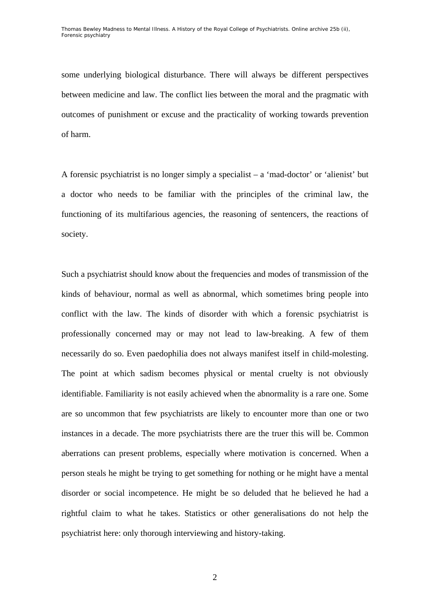some underlying biological disturbance. There will always be different perspectives between medicine and law. The conflict lies between the moral and the pragmatic with outcomes of punishment or excuse and the practicality of working towards prevention of harm.

A forensic psychiatrist is no longer simply a specialist – a 'mad-doctor' or 'alienist' but a doctor who needs to be familiar with the principles of the criminal law, the functioning of its multifarious agencies, the reasoning of sentencers, the reactions of society.

Such a psychiatrist should know about the frequencies and modes of transmission of the kinds of behaviour, normal as well as abnormal, which sometimes bring people into conflict with the law. The kinds of disorder with which a forensic psychiatrist is professionally concerned may or may not lead to law-breaking. A few of them necessarily do so. Even paedophilia does not always manifest itself in child-molesting. The point at which sadism becomes physical or mental cruelty is not obviously identifiable. Familiarity is not easily achieved when the abnormality is a rare one. Some are so uncommon that few psychiatrists are likely to encounter more than one or two instances in a decade. The more psychiatrists there are the truer this will be. Common aberrations can present problems, especially where motivation is concerned. When a person steals he might be trying to get something for nothing or he might have a mental disorder or social incompetence. He might be so deluded that he believed he had a rightful claim to what he takes. Statistics or other generalisations do not help the psychiatrist here: only thorough interviewing and history-taking.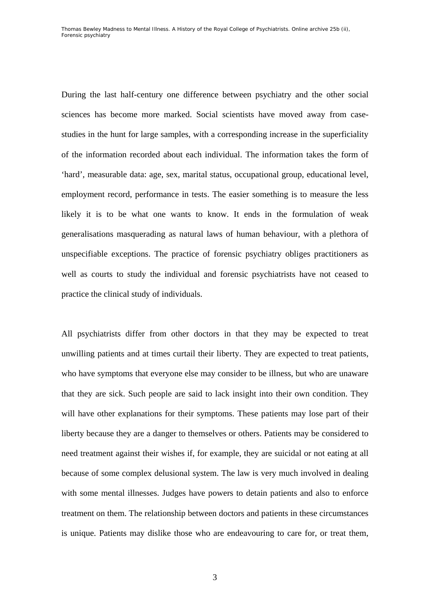During the last half-century one difference between psychiatry and the other social sciences has become more marked. Social scientists have moved away from casestudies in the hunt for large samples, with a corresponding increase in the superficiality of the information recorded about each individual. The information takes the form of 'hard', measurable data: age, sex, marital status, occupational group, educational level, employment record, performance in tests. The easier something is to measure the less likely it is to be what one wants to know. It ends in the formulation of weak generalisations masquerading as natural laws of human behaviour, with a plethora of unspecifiable exceptions. The practice of forensic psychiatry obliges practitioners as well as courts to study the individual and forensic psychiatrists have not ceased to practice the clinical study of individuals.

All psychiatrists differ from other doctors in that they may be expected to treat unwilling patients and at times curtail their liberty. They are expected to treat patients, who have symptoms that everyone else may consider to be illness, but who are unaware that they are sick. Such people are said to lack insight into their own condition. They will have other explanations for their symptoms. These patients may lose part of their liberty because they are a danger to themselves or others. Patients may be considered to need treatment against their wishes if, for example, they are suicidal or not eating at all because of some complex delusional system. The law is very much involved in dealing with some mental illnesses. Judges have powers to detain patients and also to enforce treatment on them. The relationship between doctors and patients in these circumstances is unique. Patients may dislike those who are endeavouring to care for, or treat them,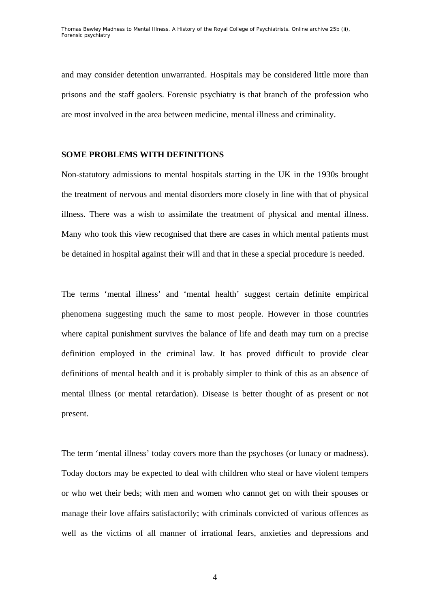and may consider detention unwarranted. Hospitals may be considered little more than prisons and the staff gaolers. Forensic psychiatry is that branch of the profession who are most involved in the area between medicine, mental illness and criminality.

### **SOME PROBLEMS WITH DEFINITIONS**

Non-statutory admissions to mental hospitals starting in the UK in the 1930s brought the treatment of nervous and mental disorders more closely in line with that of physical illness. There was a wish to assimilate the treatment of physical and mental illness. Many who took this view recognised that there are cases in which mental patients must be detained in hospital against their will and that in these a special procedure is needed.

The terms 'mental illness' and 'mental health' suggest certain definite empirical phenomena suggesting much the same to most people. However in those countries where capital punishment survives the balance of life and death may turn on a precise definition employed in the criminal law. It has proved difficult to provide clear definitions of mental health and it is probably simpler to think of this as an absence of mental illness (or mental retardation). Disease is better thought of as present or not present.

The term 'mental illness' today covers more than the psychoses (or lunacy or madness). Today doctors may be expected to deal with children who steal or have violent tempers or who wet their beds; with men and women who cannot get on with their spouses or manage their love affairs satisfactorily; with criminals convicted of various offences as well as the victims of all manner of irrational fears, anxieties and depressions and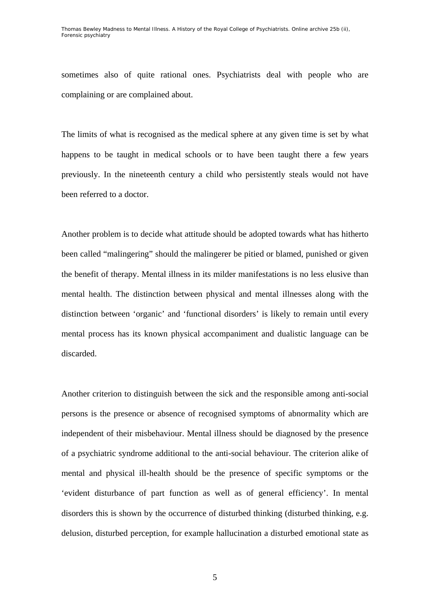sometimes also of quite rational ones. Psychiatrists deal with people who are complaining or are complained about.

The limits of what is recognised as the medical sphere at any given time is set by what happens to be taught in medical schools or to have been taught there a few years previously. In the nineteenth century a child who persistently steals would not have been referred to a doctor.

Another problem is to decide what attitude should be adopted towards what has hitherto been called "malingering" should the malingerer be pitied or blamed, punished or given the benefit of therapy. Mental illness in its milder manifestations is no less elusive than mental health. The distinction between physical and mental illnesses along with the distinction between 'organic' and 'functional disorders' is likely to remain until every mental process has its known physical accompaniment and dualistic language can be discarded.

Another criterion to distinguish between the sick and the responsible among anti-social persons is the presence or absence of recognised symptoms of abnormality which are independent of their misbehaviour. Mental illness should be diagnosed by the presence of a psychiatric syndrome additional to the anti-social behaviour. The criterion alike of mental and physical ill-health should be the presence of specific symptoms or the 'evident disturbance of part function as well as of general efficiency'. In mental disorders this is shown by the occurrence of disturbed thinking (disturbed thinking, e.g. delusion, disturbed perception, for example hallucination a disturbed emotional state as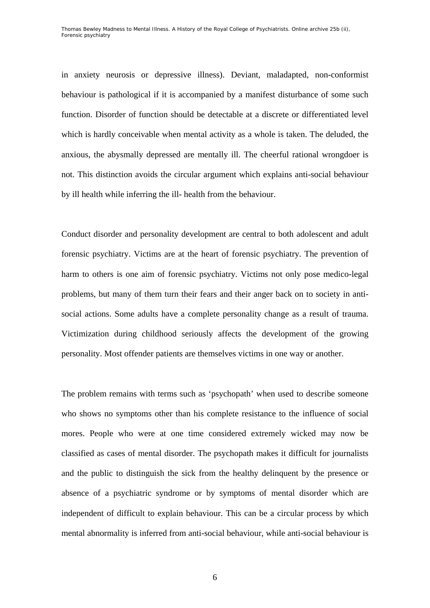in anxiety neurosis or depressive illness). Deviant, maladapted, non-conformist behaviour is pathological if it is accompanied by a manifest disturbance of some such function. Disorder of function should be detectable at a discrete or differentiated level which is hardly conceivable when mental activity as a whole is taken. The deluded, the anxious, the abysmally depressed are mentally ill. The cheerful rational wrongdoer is not. This distinction avoids the circular argument which explains anti-social behaviour by ill health while inferring the ill- health from the behaviour.

Conduct disorder and personality development are central to both adolescent and adult forensic psychiatry. Victims are at the heart of forensic psychiatry. The prevention of harm to others is one aim of forensic psychiatry. Victims not only pose medico-legal problems, but many of them turn their fears and their anger back on to society in antisocial actions. Some adults have a complete personality change as a result of trauma. Victimization during childhood seriously affects the development of the growing personality. Most offender patients are themselves victims in one way or another.

The problem remains with terms such as 'psychopath' when used to describe someone who shows no symptoms other than his complete resistance to the influence of social mores. People who were at one time considered extremely wicked may now be classified as cases of mental disorder. The psychopath makes it difficult for journalists and the public to distinguish the sick from the healthy delinquent by the presence or absence of a psychiatric syndrome or by symptoms of mental disorder which are independent of difficult to explain behaviour. This can be a circular process by which mental abnormality is inferred from anti-social behaviour, while anti-social behaviour is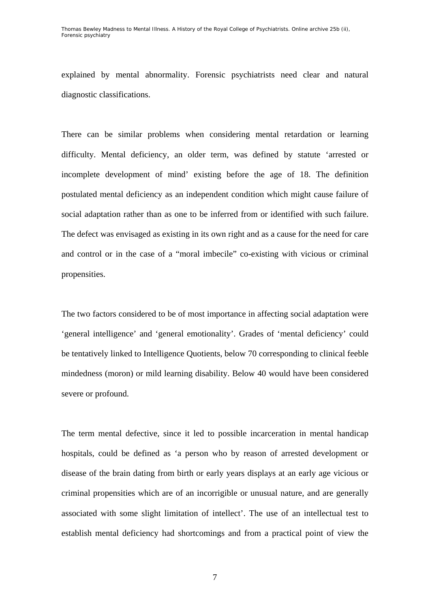explained by mental abnormality. Forensic psychiatrists need clear and natural diagnostic classifications.

There can be similar problems when considering mental retardation or learning difficulty. Mental deficiency, an older term, was defined by statute 'arrested or incomplete development of mind' existing before the age of 18. The definition postulated mental deficiency as an independent condition which might cause failure of social adaptation rather than as one to be inferred from or identified with such failure. The defect was envisaged as existing in its own right and as a cause for the need for care and control or in the case of a "moral imbecile" co-existing with vicious or criminal propensities.

The two factors considered to be of most importance in affecting social adaptation were 'general intelligence' and 'general emotionality'. Grades of 'mental deficiency' could be tentatively linked to Intelligence Quotients, below 70 corresponding to clinical feeble mindedness (moron) or mild learning disability. Below 40 would have been considered severe or profound.

The term mental defective, since it led to possible incarceration in mental handicap hospitals, could be defined as 'a person who by reason of arrested development or disease of the brain dating from birth or early years displays at an early age vicious or criminal propensities which are of an incorrigible or unusual nature, and are generally associated with some slight limitation of intellect'. The use of an intellectual test to establish mental deficiency had shortcomings and from a practical point of view the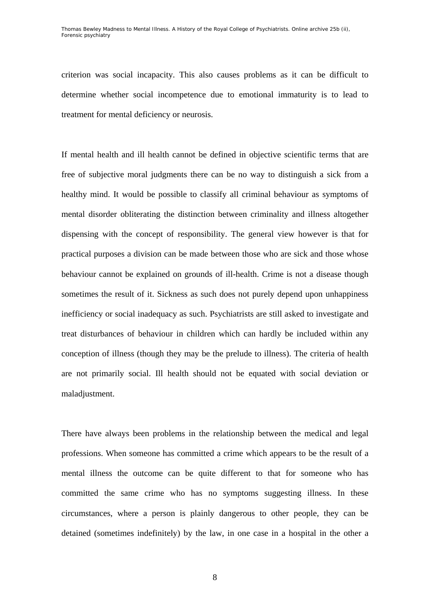criterion was social incapacity. This also causes problems as it can be difficult to determine whether social incompetence due to emotional immaturity is to lead to treatment for mental deficiency or neurosis.

If mental health and ill health cannot be defined in objective scientific terms that are free of subjective moral judgments there can be no way to distinguish a sick from a healthy mind. It would be possible to classify all criminal behaviour as symptoms of mental disorder obliterating the distinction between criminality and illness altogether dispensing with the concept of responsibility. The general view however is that for practical purposes a division can be made between those who are sick and those whose behaviour cannot be explained on grounds of ill-health. Crime is not a disease though sometimes the result of it. Sickness as such does not purely depend upon unhappiness inefficiency or social inadequacy as such. Psychiatrists are still asked to investigate and treat disturbances of behaviour in children which can hardly be included within any conception of illness (though they may be the prelude to illness). The criteria of health are not primarily social. Ill health should not be equated with social deviation or maladjustment.

There have always been problems in the relationship between the medical and legal professions. When someone has committed a crime which appears to be the result of a mental illness the outcome can be quite different to that for someone who has committed the same crime who has no symptoms suggesting illness. In these circumstances, where a person is plainly dangerous to other people, they can be detained (sometimes indefinitely) by the law, in one case in a hospital in the other a

8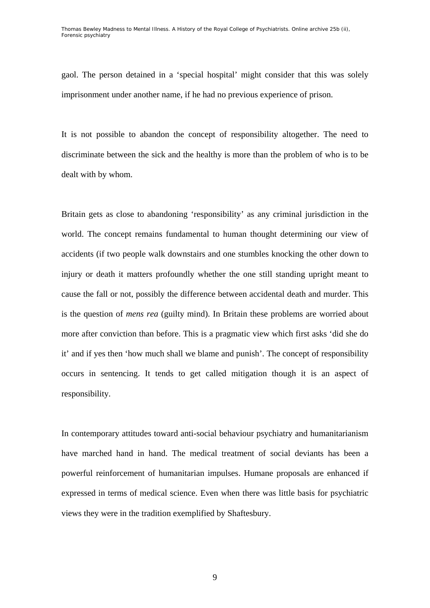gaol. The person detained in a 'special hospital' might consider that this was solely imprisonment under another name, if he had no previous experience of prison.

It is not possible to abandon the concept of responsibility altogether. The need to discriminate between the sick and the healthy is more than the problem of who is to be dealt with by whom.

Britain gets as close to abandoning 'responsibility' as any criminal jurisdiction in the world. The concept remains fundamental to human thought determining our view of accidents (if two people walk downstairs and one stumbles knocking the other down to injury or death it matters profoundly whether the one still standing upright meant to cause the fall or not, possibly the difference between accidental death and murder. This is the question of *mens rea* (guilty mind). In Britain these problems are worried about more after conviction than before. This is a pragmatic view which first asks 'did she do it' and if yes then 'how much shall we blame and punish'. The concept of responsibility occurs in sentencing. It tends to get called mitigation though it is an aspect of responsibility.

In contemporary attitudes toward anti-social behaviour psychiatry and humanitarianism have marched hand in hand. The medical treatment of social deviants has been a powerful reinforcement of humanitarian impulses. Humane proposals are enhanced if expressed in terms of medical science. Even when there was little basis for psychiatric views they were in the tradition exemplified by Shaftesbury.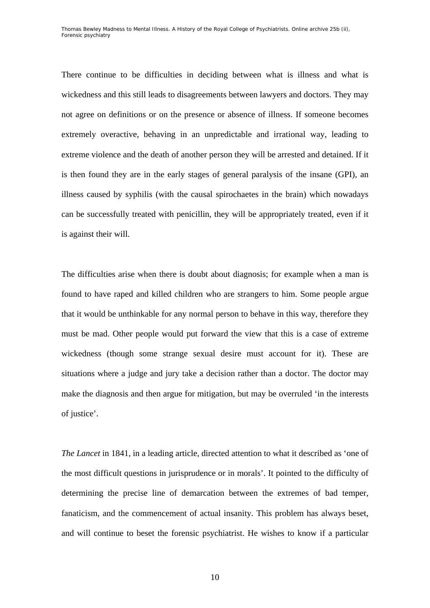There continue to be difficulties in deciding between what is illness and what is wickedness and this still leads to disagreements between lawyers and doctors. They may not agree on definitions or on the presence or absence of illness. If someone becomes extremely overactive, behaving in an unpredictable and irrational way, leading to extreme violence and the death of another person they will be arrested and detained. If it is then found they are in the early stages of general paralysis of the insane (GPI), an illness caused by syphilis (with the causal spirochaetes in the brain) which nowadays can be successfully treated with penicillin, they will be appropriately treated, even if it is against their will.

The difficulties arise when there is doubt about diagnosis; for example when a man is found to have raped and killed children who are strangers to him. Some people argue that it would be unthinkable for any normal person to behave in this way, therefore they must be mad. Other people would put forward the view that this is a case of extreme wickedness (though some strange sexual desire must account for it). These are situations where a judge and jury take a decision rather than a doctor. The doctor may make the diagnosis and then argue for mitigation, but may be overruled 'in the interests of justice'.

*The Lancet* in 1841, in a leading article, directed attention to what it described as 'one of the most difficult questions in jurisprudence or in morals'. It pointed to the difficulty of determining the precise line of demarcation between the extremes of bad temper, fanaticism, and the commencement of actual insanity. This problem has always beset, and will continue to beset the forensic psychiatrist. He wishes to know if a particular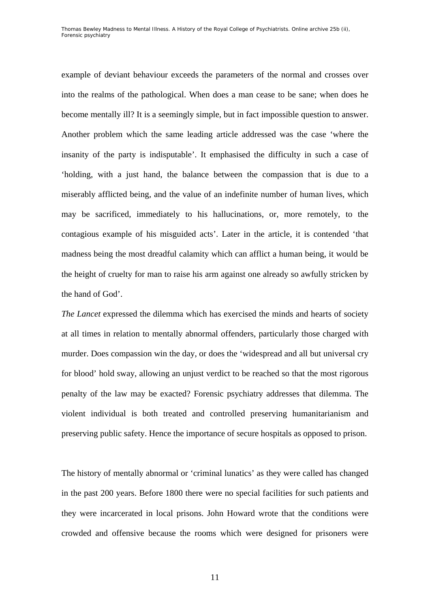example of deviant behaviour exceeds the parameters of the normal and crosses over into the realms of the pathological. When does a man cease to be sane; when does he become mentally ill? It is a seemingly simple, but in fact impossible question to answer. Another problem which the same leading article addressed was the case 'where the insanity of the party is indisputable'. It emphasised the difficulty in such a case of 'holding, with a just hand, the balance between the compassion that is due to a miserably afflicted being, and the value of an indefinite number of human lives, which may be sacrificed, immediately to his hallucinations, or, more remotely, to the contagious example of his misguided acts'. Later in the article, it is contended 'that madness being the most dreadful calamity which can afflict a human being, it would be the height of cruelty for man to raise his arm against one already so awfully stricken by the hand of God'.

*The Lancet* expressed the dilemma which has exercised the minds and hearts of society at all times in relation to mentally abnormal offenders, particularly those charged with murder. Does compassion win the day, or does the 'widespread and all but universal cry for blood' hold sway, allowing an unjust verdict to be reached so that the most rigorous penalty of the law may be exacted? Forensic psychiatry addresses that dilemma. The violent individual is both treated and controlled preserving humanitarianism and preserving public safety. Hence the importance of secure hospitals as opposed to prison.

The history of mentally abnormal or 'criminal lunatics' as they were called has changed in the past 200 years. Before 1800 there were no special facilities for such patients and they were incarcerated in local prisons. John Howard wrote that the conditions were crowded and offensive because the rooms which were designed for prisoners were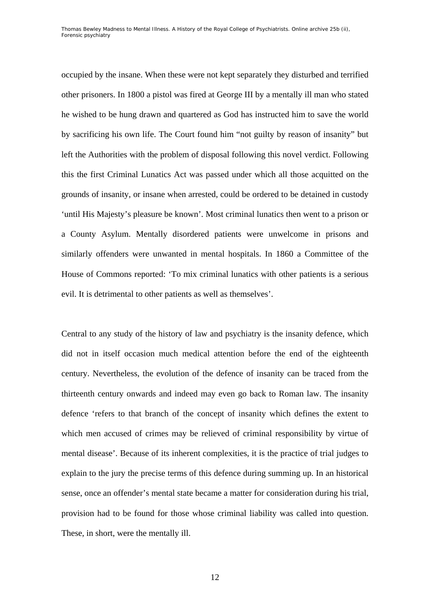occupied by the insane. When these were not kept separately they disturbed and terrified other prisoners. In 1800 a pistol was fired at George III by a mentally ill man who stated he wished to be hung drawn and quartered as God has instructed him to save the world by sacrificing his own life. The Court found him "not guilty by reason of insanity" but left the Authorities with the problem of disposal following this novel verdict. Following this the first Criminal Lunatics Act was passed under which all those acquitted on the grounds of insanity, or insane when arrested, could be ordered to be detained in custody 'until His Majesty's pleasure be known'. Most criminal lunatics then went to a prison or a County Asylum. Mentally disordered patients were unwelcome in prisons and similarly offenders were unwanted in mental hospitals. In 1860 a Committee of the House of Commons reported: 'To mix criminal lunatics with other patients is a serious evil. It is detrimental to other patients as well as themselves'.

Central to any study of the history of law and psychiatry is the insanity defence, which did not in itself occasion much medical attention before the end of the eighteenth century. Nevertheless, the evolution of the defence of insanity can be traced from the thirteenth century onwards and indeed may even go back to Roman law. The insanity defence 'refers to that branch of the concept of insanity which defines the extent to which men accused of crimes may be relieved of criminal responsibility by virtue of mental disease'. Because of its inherent complexities, it is the practice of trial judges to explain to the jury the precise terms of this defence during summing up. In an historical sense, once an offender's mental state became a matter for consideration during his trial, provision had to be found for those whose criminal liability was called into question. These, in short, were the mentally ill.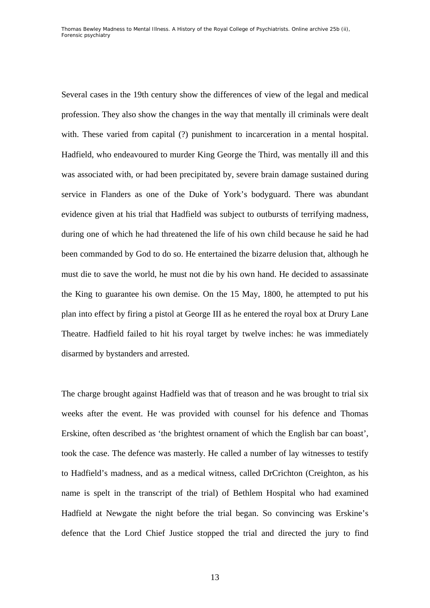Several cases in the 19th century show the differences of view of the legal and medical profession. They also show the changes in the way that mentally ill criminals were dealt with. These varied from capital (?) punishment to incarceration in a mental hospital. Hadfield, who endeavoured to murder King George the Third, was mentally ill and this was associated with, or had been precipitated by, severe brain damage sustained during service in Flanders as one of the Duke of York's bodyguard. There was abundant evidence given at his trial that Hadfield was subject to outbursts of terrifying madness, during one of which he had threatened the life of his own child because he said he had been commanded by God to do so. He entertained the bizarre delusion that, although he must die to save the world, he must not die by his own hand. He decided to assassinate the King to guarantee his own demise. On the 15 May, 1800, he attempted to put his plan into effect by firing a pistol at George III as he entered the royal box at Drury Lane Theatre. Hadfield failed to hit his royal target by twelve inches: he was immediately disarmed by bystanders and arrested.

The charge brought against Hadfield was that of treason and he was brought to trial six weeks after the event. He was provided with counsel for his defence and Thomas Erskine, often described as 'the brightest ornament of which the English bar can boast', took the case. The defence was masterly. He called a number of lay witnesses to testify to Hadfield's madness, and as a medical witness, called DrCrichton (Creighton, as his name is spelt in the transcript of the trial) of Bethlem Hospital who had examined Hadfield at Newgate the night before the trial began. So convincing was Erskine's defence that the Lord Chief Justice stopped the trial and directed the jury to find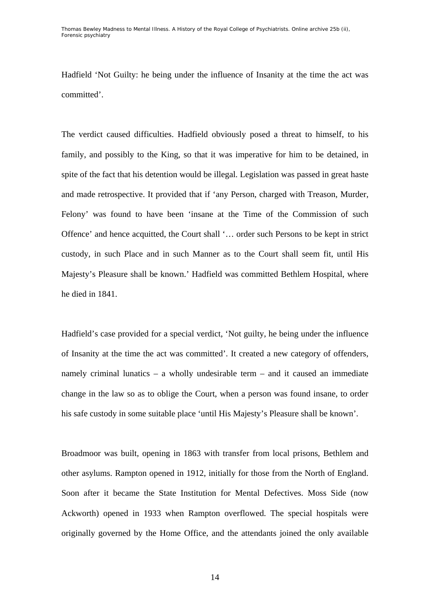Hadfield 'Not Guilty: he being under the influence of Insanity at the time the act was committed'.

The verdict caused difficulties. Hadfield obviously posed a threat to himself, to his family, and possibly to the King, so that it was imperative for him to be detained, in spite of the fact that his detention would be illegal. Legislation was passed in great haste and made retrospective. It provided that if 'any Person, charged with Treason, Murder, Felony' was found to have been 'insane at the Time of the Commission of such Offence' and hence acquitted, the Court shall '… order such Persons to be kept in strict custody, in such Place and in such Manner as to the Court shall seem fit, until His Majesty's Pleasure shall be known.' Hadfield was committed Bethlem Hospital, where he died in 1841.

Hadfield's case provided for a special verdict, 'Not guilty, he being under the influence of Insanity at the time the act was committed'. It created a new category of offenders, namely criminal lunatics – a wholly undesirable term – and it caused an immediate change in the law so as to oblige the Court, when a person was found insane, to order his safe custody in some suitable place 'until His Majesty's Pleasure shall be known'.

Broadmoor was built, opening in 1863 with transfer from local prisons, Bethlem and other asylums. Rampton opened in 1912, initially for those from the North of England. Soon after it became the State Institution for Mental Defectives. Moss Side (now Ackworth) opened in 1933 when Rampton overflowed. The special hospitals were originally governed by the Home Office, and the attendants joined the only available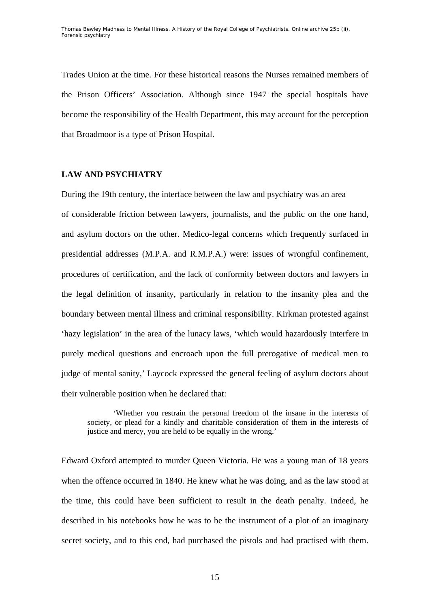Trades Union at the time. For these historical reasons the Nurses remained members of the Prison Officers' Association. Although since 1947 the special hospitals have become the responsibility of the Health Department, this may account for the perception that Broadmoor is a type of Prison Hospital.

# **LAW AND PSYCHIATRY**

During the 19th century, the interface between the law and psychiatry was an area of considerable friction between lawyers, journalists, and the public on the one hand, and asylum doctors on the other. Medico-legal concerns which frequently surfaced in presidential addresses (M.P.A. and R.M.P.A.) were: issues of wrongful confinement, procedures of certification, and the lack of conformity between doctors and lawyers in the legal definition of insanity, particularly in relation to the insanity plea and the boundary between mental illness and criminal responsibility. Kirkman protested against 'hazy legislation' in the area of the lunacy laws, 'which would hazardously interfere in purely medical questions and encroach upon the full prerogative of medical men to judge of mental sanity,' Laycock expressed the general feeling of asylum doctors about their vulnerable position when he declared that:

'Whether you restrain the personal freedom of the insane in the interests of society, or plead for a kindly and charitable consideration of them in the interests of justice and mercy, you are held to be equally in the wrong.'

Edward Oxford attempted to murder Queen Victoria. He was a young man of 18 years when the offence occurred in 1840. He knew what he was doing, and as the law stood at the time, this could have been sufficient to result in the death penalty. Indeed, he described in his notebooks how he was to be the instrument of a plot of an imaginary secret society, and to this end, had purchased the pistols and had practised with them.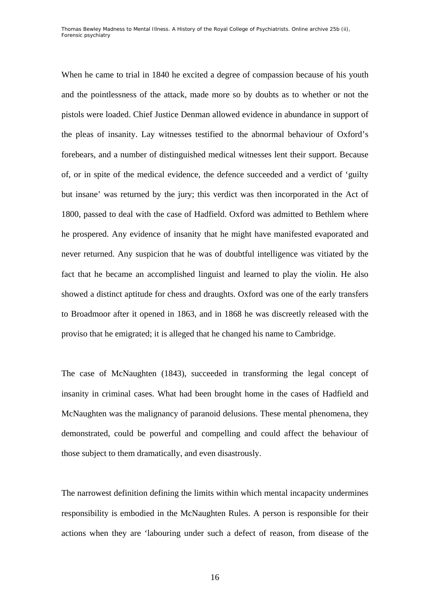When he came to trial in 1840 he excited a degree of compassion because of his youth and the pointlessness of the attack, made more so by doubts as to whether or not the pistols were loaded. Chief Justice Denman allowed evidence in abundance in support of the pleas of insanity. Lay witnesses testified to the abnormal behaviour of Oxford's forebears, and a number of distinguished medical witnesses lent their support. Because of, or in spite of the medical evidence, the defence succeeded and a verdict of 'guilty but insane' was returned by the jury; this verdict was then incorporated in the Act of 1800, passed to deal with the case of Hadfield. Oxford was admitted to Bethlem where he prospered. Any evidence of insanity that he might have manifested evaporated and never returned. Any suspicion that he was of doubtful intelligence was vitiated by the fact that he became an accomplished linguist and learned to play the violin. He also showed a distinct aptitude for chess and draughts. Oxford was one of the early transfers to Broadmoor after it opened in 1863, and in 1868 he was discreetly released with the proviso that he emigrated; it is alleged that he changed his name to Cambridge.

The case of McNaughten (1843), succeeded in transforming the legal concept of insanity in criminal cases. What had been brought home in the cases of Hadfield and McNaughten was the malignancy of paranoid delusions. These mental phenomena, they demonstrated, could be powerful and compelling and could affect the behaviour of those subject to them dramatically, and even disastrously.

The narrowest definition defining the limits within which mental incapacity undermines responsibility is embodied in the McNaughten Rules. A person is responsible for their actions when they are 'labouring under such a defect of reason, from disease of the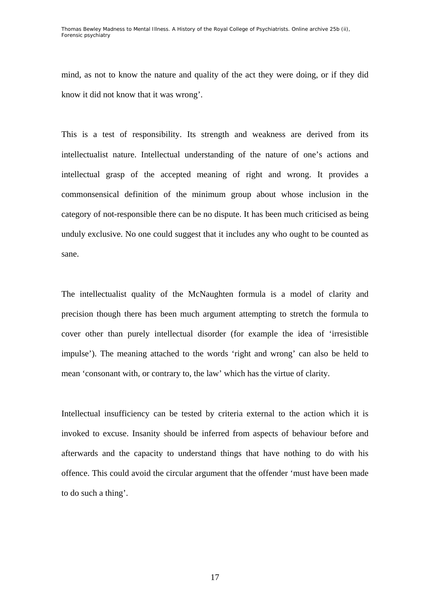mind, as not to know the nature and quality of the act they were doing, or if they did know it did not know that it was wrong'.

This is a test of responsibility. Its strength and weakness are derived from its intellectualist nature. Intellectual understanding of the nature of one's actions and intellectual grasp of the accepted meaning of right and wrong. It provides a commonsensical definition of the minimum group about whose inclusion in the category of not-responsible there can be no dispute. It has been much criticised as being unduly exclusive. No one could suggest that it includes any who ought to be counted as sane.

The intellectualist quality of the McNaughten formula is a model of clarity and precision though there has been much argument attempting to stretch the formula to cover other than purely intellectual disorder (for example the idea of 'irresistible impulse'). The meaning attached to the words 'right and wrong' can also be held to mean 'consonant with, or contrary to, the law' which has the virtue of clarity.

Intellectual insufficiency can be tested by criteria external to the action which it is invoked to excuse. Insanity should be inferred from aspects of behaviour before and afterwards and the capacity to understand things that have nothing to do with his offence. This could avoid the circular argument that the offender 'must have been made to do such a thing'.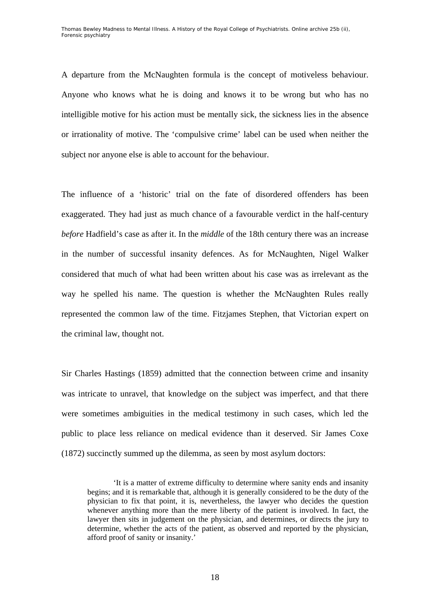A departure from the McNaughten formula is the concept of motiveless behaviour. Anyone who knows what he is doing and knows it to be wrong but who has no intelligible motive for his action must be mentally sick, the sickness lies in the absence or irrationality of motive. The 'compulsive crime' label can be used when neither the subject nor anyone else is able to account for the behaviour.

The influence of a 'historic' trial on the fate of disordered offenders has been exaggerated. They had just as much chance of a favourable verdict in the half-century *before* Hadfield's case as after it. In the *middle* of the 18th century there was an increase in the number of successful insanity defences. As for McNaughten, Nigel Walker considered that much of what had been written about his case was as irrelevant as the way he spelled his name. The question is whether the McNaughten Rules really represented the common law of the time. Fitzjames Stephen, that Victorian expert on the criminal law, thought not.

Sir Charles Hastings (1859) admitted that the connection between crime and insanity was intricate to unravel, that knowledge on the subject was imperfect, and that there were sometimes ambiguities in the medical testimony in such cases, which led the public to place less reliance on medical evidence than it deserved. Sir James Coxe (1872) succinctly summed up the dilemma, as seen by most asylum doctors:

<sup>&#</sup>x27;It is a matter of extreme difficulty to determine where sanity ends and insanity begins; and it is remarkable that, although it is generally considered to be the duty of the physician to fix that point, it is, nevertheless, the lawyer who decides the question whenever anything more than the mere liberty of the patient is involved. In fact, the lawyer then sits in judgement on the physician, and determines, or directs the jury to determine, whether the acts of the patient, as observed and reported by the physician, afford proof of sanity or insanity.'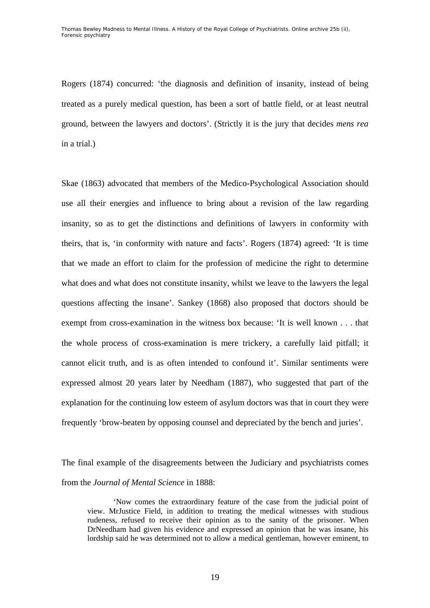Rogers (1874) concurred: 'the diagnosis and definition of insanity, instead of being treated as a purely medical question, has been a sort of battle field, or at least neutral ground, between the lawyers and doctors'. (Strictly it is the jury that decides *mens rea* in a trial.)

Skae (1863) advocated that members of the Medico-Psychological Association should use all their energies and influence to bring about a revision of the law regarding insanity, so as to get the distinctions and definitions of lawyers in conformity with theirs, that is, 'in conformity with nature and facts'. Rogers (1874) agreed: 'It is time that we made an effort to claim for the profession of medicine the right to determine what does and what does not constitute insanity, whilst we leave to the lawyers the legal questions affecting the insane'. Sankey (1868) also proposed that doctors should be exempt from cross-examination in the witness box because: 'It is well known . . . that the whole process of cross-examination is mere trickery, a carefully laid pitfall; it cannot elicit truth, and is as often intended to confound it'. Similar sentiments were expressed almost 20 years later by Needham (1887), who suggested that part of the explanation for the continuing low esteem of asylum doctors was that in court they were frequently 'brow-beaten by opposing counsel and depreciated by the bench and juries'.

The final example of the disagreements between the Judiciary and psychiatrists comes from the *Journal of Mental Science* in 1888:

'Now comes the extraordinary feature of the case from the judicial point of view. MrJustice Field, in addition to treating the medical witnesses with studious rudeness, refused to receive their opinion as to the sanity of the prisoner. When DrNeedham had given his evidence and expressed an opinion that he was insane, his lordship said he was determined not to allow a medical gentleman, however eminent, to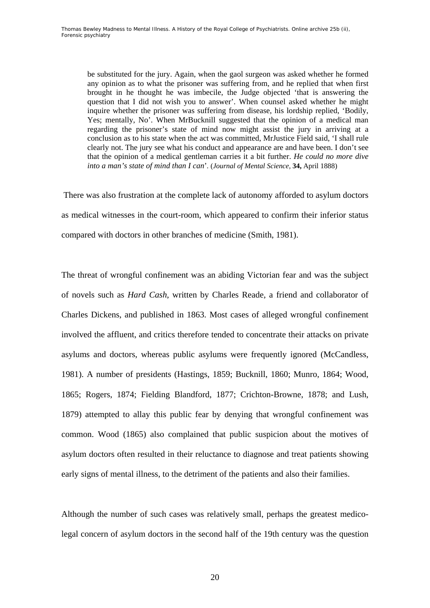be substituted for the jury. Again, when the gaol surgeon was asked whether he formed any opinion as to what the prisoner was suffering from, and he replied that when first brought in he thought he was imbecile, the Judge objected 'that is answering the question that I did not wish you to answer'. When counsel asked whether he might inquire whether the prisoner was suffering from disease, his lordship replied, 'Bodily, Yes; mentally, No'. When MrBucknill suggested that the opinion of a medical man regarding the prisoner's state of mind now might assist the jury in arriving at a conclusion as to his state when the act was committed, MrJustice Field said, 'I shall rule clearly not. The jury see what his conduct and appearance are and have been. I don't see that the opinion of a medical gentleman carries it a bit further. *He could no more dive into a man's state of mind than I can*'*.* (*Journal of Mental Science,* **34,** April 1888)

 There was also frustration at the complete lack of autonomy afforded to asylum doctors as medical witnesses in the court-room, which appeared to confirm their inferior status compared with doctors in other branches of medicine (Smith, 1981).

The threat of wrongful confinement was an abiding Victorian fear and was the subject of novels such as *Hard Cash*, written by Charles Reade, a friend and collaborator of Charles Dickens, and published in 1863. Most cases of alleged wrongful confinement involved the affluent, and critics therefore tended to concentrate their attacks on private asylums and doctors, whereas public asylums were frequently ignored (McCandless, 1981). A number of presidents (Hastings, 1859; Bucknill, 1860; Munro, 1864; Wood, 1865; Rogers, 1874; Fielding Blandford, 1877; Crichton-Browne, 1878; and Lush, 1879) attempted to allay this public fear by denying that wrongful confinement was common. Wood (1865) also complained that public suspicion about the motives of asylum doctors often resulted in their reluctance to diagnose and treat patients showing early signs of mental illness, to the detriment of the patients and also their families.

Although the number of such cases was relatively small, perhaps the greatest medicolegal concern of asylum doctors in the second half of the 19th century was the question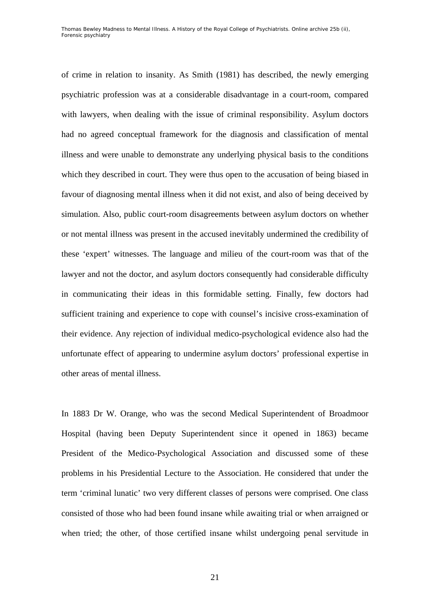of crime in relation to insanity. As Smith (1981) has described, the newly emerging psychiatric profession was at a considerable disadvantage in a court-room, compared with lawyers, when dealing with the issue of criminal responsibility. Asylum doctors had no agreed conceptual framework for the diagnosis and classification of mental illness and were unable to demonstrate any underlying physical basis to the conditions which they described in court. They were thus open to the accusation of being biased in favour of diagnosing mental illness when it did not exist, and also of being deceived by simulation. Also, public court-room disagreements between asylum doctors on whether or not mental illness was present in the accused inevitably undermined the credibility of these 'expert' witnesses. The language and milieu of the court-room was that of the lawyer and not the doctor, and asylum doctors consequently had considerable difficulty in communicating their ideas in this formidable setting. Finally, few doctors had sufficient training and experience to cope with counsel's incisive cross-examination of their evidence. Any rejection of individual medico-psychological evidence also had the unfortunate effect of appearing to undermine asylum doctors' professional expertise in other areas of mental illness.

In 1883 Dr W. Orange, who was the second Medical Superintendent of Broadmoor Hospital (having been Deputy Superintendent since it opened in 1863) became President of the Medico-Psychological Association and discussed some of these problems in his Presidential Lecture to the Association. He considered that under the term 'criminal lunatic' two very different classes of persons were comprised. One class consisted of those who had been found insane while awaiting trial or when arraigned or when tried; the other, of those certified insane whilst undergoing penal servitude in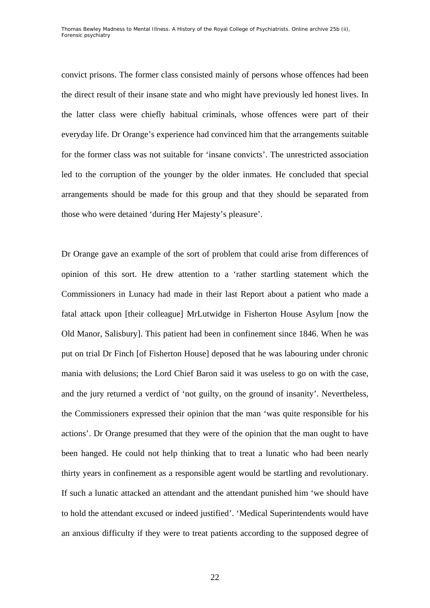convict prisons. The former class consisted mainly of persons whose offences had been the direct result of their insane state and who might have previously led honest lives. In the latter class were chiefly habitual criminals, whose offences were part of their everyday life. Dr Orange's experience had convinced him that the arrangements suitable for the former class was not suitable for 'insane convicts'. The unrestricted association led to the corruption of the younger by the older inmates. He concluded that special arrangements should be made for this group and that they should be separated from those who were detained 'during Her Majesty's pleasure'.

Dr Orange gave an example of the sort of problem that could arise from differences of opinion of this sort. He drew attention to a 'rather startling statement which the Commissioners in Lunacy had made in their last Report about a patient who made a fatal attack upon [their colleague] MrLutwidge in Fisherton House Asylum [now the Old Manor, Salisbury]. This patient had been in confinement since 1846. When he was put on trial Dr Finch [of Fisherton House] deposed that he was labouring under chronic mania with delusions; the Lord Chief Baron said it was useless to go on with the case, and the jury returned a verdict of 'not guilty, on the ground of insanity'. Nevertheless, the Commissioners expressed their opinion that the man 'was quite responsible for his actions'. Dr Orange presumed that they were of the opinion that the man ought to have been hanged. He could not help thinking that to treat a lunatic who had been nearly thirty years in confinement as a responsible agent would be startling and revolutionary. If such a lunatic attacked an attendant and the attendant punished him 'we should have to hold the attendant excused or indeed justified'. 'Medical Superintendents would have an anxious difficulty if they were to treat patients according to the supposed degree of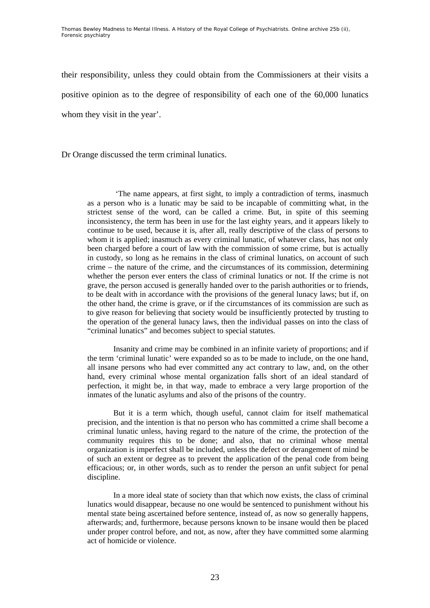their responsibility, unless they could obtain from the Commissioners at their visits a positive opinion as to the degree of responsibility of each one of the 60,000 lunatics whom they visit in the year'.

Dr Orange discussed the term criminal lunatics.

'The name appears, at first sight, to imply a contradiction of terms, inasmuch as a person who is a lunatic may be said to be incapable of committing what, in the strictest sense of the word, can be called a crime. But, in spite of this seeming inconsistency, the term has been in use for the last eighty years, and it appears likely to continue to be used, because it is, after all, really descriptive of the class of persons to whom it is applied; inasmuch as every criminal lunatic, of whatever class, has not only been charged before a court of law with the commission of some crime, but is actually in custody, so long as he remains in the class of criminal lunatics, on account of such crime – the nature of the crime, and the circumstances of its commission, determining whether the person ever enters the class of criminal lunatics or not. If the crime is not grave, the person accused is generally handed over to the parish authorities or to friends, to be dealt with in accordance with the provisions of the general lunacy laws; but if, on the other hand, the crime is grave, or if the circumstances of its commission are such as to give reason for believing that society would be insufficiently protected by trusting to the operation of the general lunacy laws, then the individual passes on into the class of "criminal lunatics" and becomes subject to special statutes.

Insanity and crime may be combined in an infinite variety of proportions; and if the term 'criminal lunatic' were expanded so as to be made to include, on the one hand, all insane persons who had ever committed any act contrary to law, and, on the other hand, every criminal whose mental organization falls short of an ideal standard of perfection, it might be, in that way, made to embrace a very large proportion of the inmates of the lunatic asylums and also of the prisons of the country.

But it is a term which, though useful, cannot claim for itself mathematical precision, and the intention is that no person who has committed a crime shall become a criminal lunatic unless, having regard to the nature of the crime, the protection of the community requires this to be done; and also, that no criminal whose mental organization is imperfect shall be included, unless the defect or derangement of mind be of such an extent or degree as to prevent the application of the penal code from being efficacious; or, in other words, such as to render the person an unfit subject for penal discipline.

In a more ideal state of society than that which now exists, the class of criminal lunatics would disappear, because no one would be sentenced to punishment without his mental state being ascertained before sentence, instead of, as now so generally happens, afterwards; and, furthermore, because persons known to be insane would then be placed under proper control before, and not, as now, after they have committed some alarming act of homicide or violence.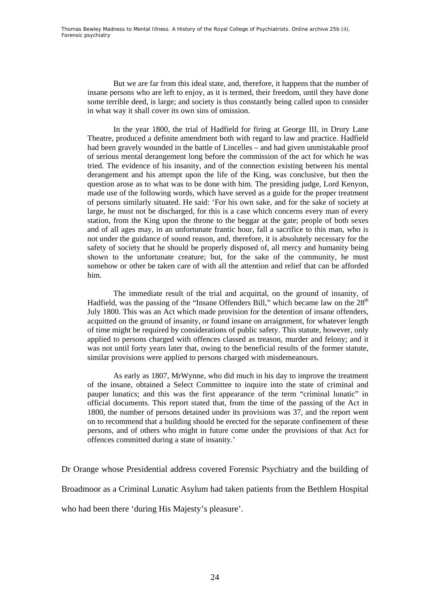But we are far from this ideal state, and, therefore, it happens that the number of insane persons who are left to enjoy, as it is termed, their freedom, until they have done some terrible deed, is large; and society is thus constantly being called upon to consider in what way it shall cover its own sins of omission.

In the year 1800, the trial of Hadfield for firing at George III, in Drury Lane Theatre, produced a definite amendment both with regard to law and practice. Hadfield had been gravely wounded in the battle of Lincelles – and had given unmistakable proof of serious mental derangement long before the commission of the act for which he was tried. The evidence of his insanity, and of the connection existing between his mental derangement and his attempt upon the life of the King, was conclusive, but then the question arose as to what was to be done with him. The presiding judge, Lord Kenyon, made use of the following words, which have served as a guide for the proper treatment of persons similarly situated. He said: 'For his own sake, and for the sake of society at large, he must not be discharged, for this is a case which concerns every man of every station, from the King upon the throne to the beggar at the gate; people of both sexes and of all ages may, in an unfortunate frantic hour, fall a sacrifice to this man, who is not under the guidance of sound reason, and, therefore, it is absolutely necessary for the safety of society that he should be properly disposed of, all mercy and humanity being shown to the unfortunate creature; but, for the sake of the community, he must somehow or other be taken care of with all the attention and relief that can be afforded him.

The immediate result of the trial and acquittal, on the ground of insanity, of Hadfield, was the passing of the "Insane Offenders Bill," which became law on the  $28<sup>th</sup>$ July 1800. This was an Act which made provision for the detention of insane offenders, acquitted on the ground of insanity, or found insane on arraignment, for whatever length of time might be required by considerations of public safety. This statute, however, only applied to persons charged with offences classed as treason, murder and felony; and it was not until forty years later that, owing to the beneficial results of the former statute, similar provisions were applied to persons charged with misdemeanours.

As early as 1807, MrWynne, who did much in his day to improve the treatment of the insane, obtained a Select Committee to inquire into the state of criminal and pauper lunatics; and this was the first appearance of the term "criminal lunatic" in official documents. This report stated that, from the time of the passing of the Act in 1800, the number of persons detained under its provisions was 37, and the report went on to recommend that a building should be erected for the separate confinement of these persons, and of others who might in future come under the provisions of that Act for offences committed during a state of insanity.'

Dr Orange whose Presidential address covered Forensic Psychiatry and the building of Broadmoor as a Criminal Lunatic Asylum had taken patients from the Bethlem Hospital who had been there 'during His Majesty's pleasure'.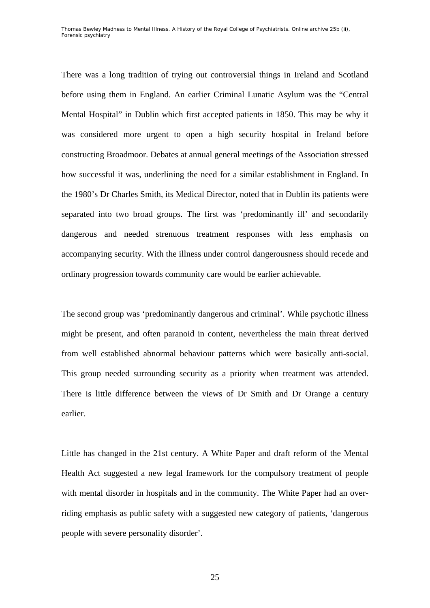There was a long tradition of trying out controversial things in Ireland and Scotland before using them in England. An earlier Criminal Lunatic Asylum was the "Central Mental Hospital" in Dublin which first accepted patients in 1850. This may be why it was considered more urgent to open a high security hospital in Ireland before constructing Broadmoor. Debates at annual general meetings of the Association stressed how successful it was, underlining the need for a similar establishment in England. In the 1980's Dr Charles Smith, its Medical Director, noted that in Dublin its patients were separated into two broad groups. The first was 'predominantly ill' and secondarily dangerous and needed strenuous treatment responses with less emphasis on accompanying security. With the illness under control dangerousness should recede and ordinary progression towards community care would be earlier achievable.

The second group was 'predominantly dangerous and criminal'. While psychotic illness might be present, and often paranoid in content, nevertheless the main threat derived from well established abnormal behaviour patterns which were basically anti-social. This group needed surrounding security as a priority when treatment was attended. There is little difference between the views of Dr Smith and Dr Orange a century earlier.

Little has changed in the 21st century. A White Paper and draft reform of the Mental Health Act suggested a new legal framework for the compulsory treatment of people with mental disorder in hospitals and in the community. The White Paper had an overriding emphasis as public safety with a suggested new category of patients, 'dangerous people with severe personality disorder'.

25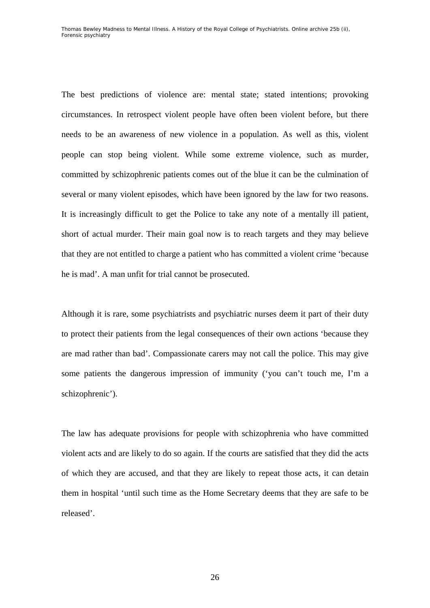The best predictions of violence are: mental state; stated intentions; provoking circumstances. In retrospect violent people have often been violent before, but there needs to be an awareness of new violence in a population. As well as this, violent people can stop being violent. While some extreme violence, such as murder, committed by schizophrenic patients comes out of the blue it can be the culmination of several or many violent episodes, which have been ignored by the law for two reasons. It is increasingly difficult to get the Police to take any note of a mentally ill patient, short of actual murder. Their main goal now is to reach targets and they may believe that they are not entitled to charge a patient who has committed a violent crime 'because he is mad'. A man unfit for trial cannot be prosecuted.

Although it is rare, some psychiatrists and psychiatric nurses deem it part of their duty to protect their patients from the legal consequences of their own actions 'because they are mad rather than bad'. Compassionate carers may not call the police. This may give some patients the dangerous impression of immunity ('you can't touch me, I'm a schizophrenic').

The law has adequate provisions for people with schizophrenia who have committed violent acts and are likely to do so again. If the courts are satisfied that they did the acts of which they are accused, and that they are likely to repeat those acts, it can detain them in hospital 'until such time as the Home Secretary deems that they are safe to be released'.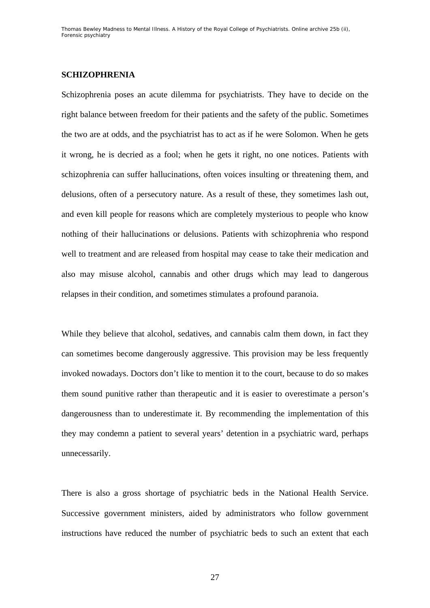## **SCHIZOPHRENIA**

Schizophrenia poses an acute dilemma for psychiatrists. They have to decide on the right balance between freedom for their patients and the safety of the public. Sometimes the two are at odds, and the psychiatrist has to act as if he were Solomon. When he gets it wrong, he is decried as a fool; when he gets it right, no one notices. Patients with schizophrenia can suffer hallucinations, often voices insulting or threatening them, and delusions, often of a persecutory nature. As a result of these, they sometimes lash out, and even kill people for reasons which are completely mysterious to people who know nothing of their hallucinations or delusions. Patients with schizophrenia who respond well to treatment and are released from hospital may cease to take their medication and also may misuse alcohol, cannabis and other drugs which may lead to dangerous relapses in their condition, and sometimes stimulates a profound paranoia.

While they believe that alcohol, sedatives, and cannabis calm them down, in fact they can sometimes become dangerously aggressive. This provision may be less frequently invoked nowadays. Doctors don't like to mention it to the court, because to do so makes them sound punitive rather than therapeutic and it is easier to overestimate a person's dangerousness than to underestimate it. By recommending the implementation of this they may condemn a patient to several years' detention in a psychiatric ward, perhaps unnecessarily.

There is also a gross shortage of psychiatric beds in the National Health Service. Successive government ministers, aided by administrators who follow government instructions have reduced the number of psychiatric beds to such an extent that each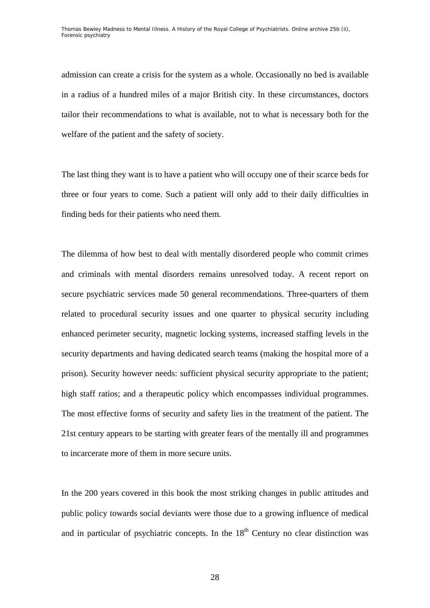admission can create a crisis for the system as a whole. Occasionally no bed is available in a radius of a hundred miles of a major British city. In these circumstances, doctors tailor their recommendations to what is available, not to what is necessary both for the welfare of the patient and the safety of society.

The last thing they want is to have a patient who will occupy one of their scarce beds for three or four years to come. Such a patient will only add to their daily difficulties in finding beds for their patients who need them.

The dilemma of how best to deal with mentally disordered people who commit crimes and criminals with mental disorders remains unresolved today. A recent report on secure psychiatric services made 50 general recommendations. Three-quarters of them related to procedural security issues and one quarter to physical security including enhanced perimeter security, magnetic locking systems, increased staffing levels in the security departments and having dedicated search teams (making the hospital more of a prison). Security however needs: sufficient physical security appropriate to the patient; high staff ratios; and a therapeutic policy which encompasses individual programmes. The most effective forms of security and safety lies in the treatment of the patient. The 21st century appears to be starting with greater fears of the mentally ill and programmes to incarcerate more of them in more secure units.

In the 200 years covered in this book the most striking changes in public attitudes and public policy towards social deviants were those due to a growing influence of medical and in particular of psychiatric concepts. In the  $18<sup>th</sup>$  Century no clear distinction was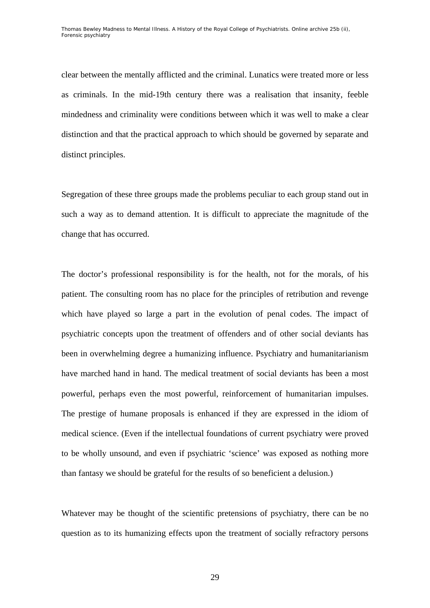clear between the mentally afflicted and the criminal. Lunatics were treated more or less as criminals. In the mid-19th century there was a realisation that insanity, feeble mindedness and criminality were conditions between which it was well to make a clear distinction and that the practical approach to which should be governed by separate and distinct principles.

Segregation of these three groups made the problems peculiar to each group stand out in such a way as to demand attention. It is difficult to appreciate the magnitude of the change that has occurred.

The doctor's professional responsibility is for the health, not for the morals, of his patient. The consulting room has no place for the principles of retribution and revenge which have played so large a part in the evolution of penal codes. The impact of psychiatric concepts upon the treatment of offenders and of other social deviants has been in overwhelming degree a humanizing influence. Psychiatry and humanitarianism have marched hand in hand. The medical treatment of social deviants has been a most powerful, perhaps even the most powerful, reinforcement of humanitarian impulses. The prestige of humane proposals is enhanced if they are expressed in the idiom of medical science. (Even if the intellectual foundations of current psychiatry were proved to be wholly unsound, and even if psychiatric 'science' was exposed as nothing more than fantasy we should be grateful for the results of so beneficient a delusion.)

Whatever may be thought of the scientific pretensions of psychiatry, there can be no question as to its humanizing effects upon the treatment of socially refractory persons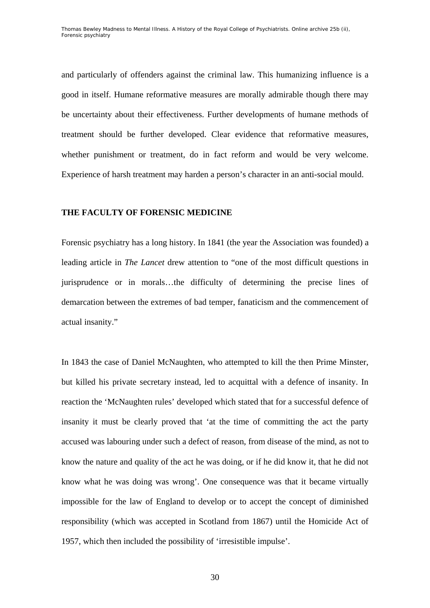and particularly of offenders against the criminal law. This humanizing influence is a good in itself. Humane reformative measures are morally admirable though there may be uncertainty about their effectiveness. Further developments of humane methods of treatment should be further developed. Clear evidence that reformative measures, whether punishment or treatment, do in fact reform and would be very welcome. Experience of harsh treatment may harden a person's character in an anti-social mould.

#### **THE FACULTY OF FORENSIC MEDICINE**

Forensic psychiatry has a long history. In 1841 (the year the Association was founded) a leading article in *The Lancet* drew attention to "one of the most difficult questions in jurisprudence or in morals…the difficulty of determining the precise lines of demarcation between the extremes of bad temper, fanaticism and the commencement of actual insanity."

In 1843 the case of Daniel McNaughten, who attempted to kill the then Prime Minster, but killed his private secretary instead, led to acquittal with a defence of insanity. In reaction the 'McNaughten rules' developed which stated that for a successful defence of insanity it must be clearly proved that 'at the time of committing the act the party accused was labouring under such a defect of reason, from disease of the mind, as not to know the nature and quality of the act he was doing, or if he did know it, that he did not know what he was doing was wrong'. One consequence was that it became virtually impossible for the law of England to develop or to accept the concept of diminished responsibility (which was accepted in Scotland from 1867) until the Homicide Act of 1957, which then included the possibility of 'irresistible impulse'.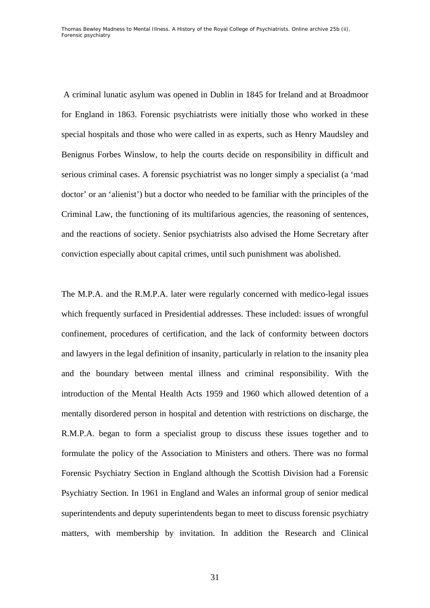A criminal lunatic asylum was opened in Dublin in 1845 for Ireland and at Broadmoor for England in 1863. Forensic psychiatrists were initially those who worked in these special hospitals and those who were called in as experts, such as Henry Maudsley and Benignus Forbes Winslow, to help the courts decide on responsibility in difficult and serious criminal cases. A forensic psychiatrist was no longer simply a specialist (a 'mad doctor' or an 'alienist') but a doctor who needed to be familiar with the principles of the Criminal Law, the functioning of its multifarious agencies, the reasoning of sentences, and the reactions of society. Senior psychiatrists also advised the Home Secretary after conviction especially about capital crimes, until such punishment was abolished.

The M.P.A. and the R.M.P.A. later were regularly concerned with medico-legal issues which frequently surfaced in Presidential addresses. These included: issues of wrongful confinement, procedures of certification, and the lack of conformity between doctors and lawyers in the legal definition of insanity, particularly in relation to the insanity plea and the boundary between mental illness and criminal responsibility. With the introduction of the Mental Health Acts 1959 and 1960 which allowed detention of a mentally disordered person in hospital and detention with restrictions on discharge, the R.M.P.A. began to form a specialist group to discuss these issues together and to formulate the policy of the Association to Ministers and others. There was no formal Forensic Psychiatry Section in England although the Scottish Division had a Forensic Psychiatry Section. In 1961 in England and Wales an informal group of senior medical superintendents and deputy superintendents began to meet to discuss forensic psychiatry matters, with membership by invitation. In addition the Research and Clinical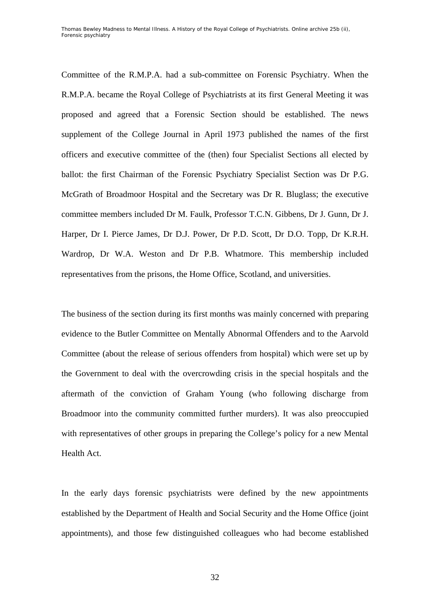Committee of the R.M.P.A. had a sub-committee on Forensic Psychiatry. When the R.M.P.A. became the Royal College of Psychiatrists at its first General Meeting it was proposed and agreed that a Forensic Section should be established. The news supplement of the College Journal in April 1973 published the names of the first officers and executive committee of the (then) four Specialist Sections all elected by ballot: the first Chairman of the Forensic Psychiatry Specialist Section was Dr P.G. McGrath of Broadmoor Hospital and the Secretary was Dr R. Bluglass; the executive committee members included Dr M. Faulk, Professor T.C.N. Gibbens, Dr J. Gunn, Dr J. Harper, Dr I. Pierce James, Dr D.J. Power, Dr P.D. Scott, Dr D.O. Topp, Dr K.R.H. Wardrop, Dr W.A. Weston and Dr P.B. Whatmore. This membership included representatives from the prisons, the Home Office, Scotland, and universities.

The business of the section during its first months was mainly concerned with preparing evidence to the Butler Committee on Mentally Abnormal Offenders and to the Aarvold Committee (about the release of serious offenders from hospital) which were set up by the Government to deal with the overcrowding crisis in the special hospitals and the aftermath of the conviction of Graham Young (who following discharge from Broadmoor into the community committed further murders). It was also preoccupied with representatives of other groups in preparing the College's policy for a new Mental Health Act.

In the early days forensic psychiatrists were defined by the new appointments established by the Department of Health and Social Security and the Home Office (joint appointments), and those few distinguished colleagues who had become established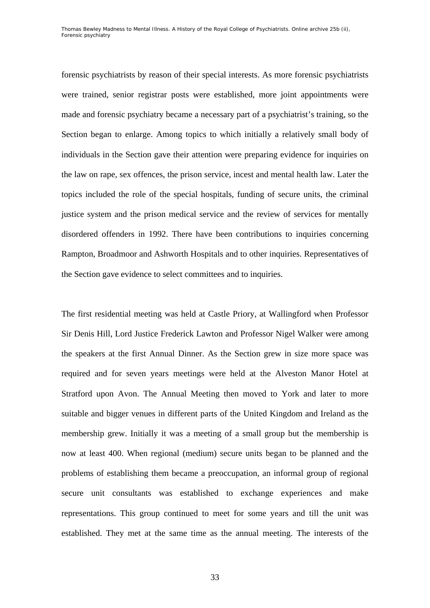forensic psychiatrists by reason of their special interests. As more forensic psychiatrists were trained, senior registrar posts were established, more joint appointments were made and forensic psychiatry became a necessary part of a psychiatrist's training, so the Section began to enlarge. Among topics to which initially a relatively small body of individuals in the Section gave their attention were preparing evidence for inquiries on the law on rape, sex offences, the prison service, incest and mental health law. Later the topics included the role of the special hospitals, funding of secure units, the criminal justice system and the prison medical service and the review of services for mentally disordered offenders in 1992. There have been contributions to inquiries concerning Rampton, Broadmoor and Ashworth Hospitals and to other inquiries. Representatives of the Section gave evidence to select committees and to inquiries.

The first residential meeting was held at Castle Priory, at Wallingford when Professor Sir Denis Hill, Lord Justice Frederick Lawton and Professor Nigel Walker were among the speakers at the first Annual Dinner. As the Section grew in size more space was required and for seven years meetings were held at the Alveston Manor Hotel at Stratford upon Avon. The Annual Meeting then moved to York and later to more suitable and bigger venues in different parts of the United Kingdom and Ireland as the membership grew. Initially it was a meeting of a small group but the membership is now at least 400. When regional (medium) secure units began to be planned and the problems of establishing them became a preoccupation, an informal group of regional secure unit consultants was established to exchange experiences and make representations. This group continued to meet for some years and till the unit was established. They met at the same time as the annual meeting. The interests of the

33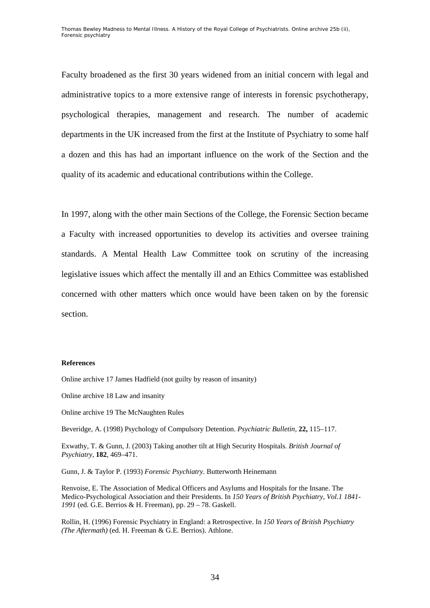Faculty broadened as the first 30 years widened from an initial concern with legal and administrative topics to a more extensive range of interests in forensic psychotherapy, psychological therapies, management and research. The number of academic departments in the UK increased from the first at the Institute of Psychiatry to some half a dozen and this has had an important influence on the work of the Section and the quality of its academic and educational contributions within the College.

In 1997, along with the other main Sections of the College, the Forensic Section became a Faculty with increased opportunities to develop its activities and oversee training standards. A Mental Health Law Committee took on scrutiny of the increasing legislative issues which affect the mentally ill and an Ethics Committee was established concerned with other matters which once would have been taken on by the forensic section.

#### **References**

Online archive 17 James Hadfield (not guilty by reason of insanity)

Online archive 18 Law and insanity

Online archive 19 The McNaughten Rules

Beveridge, A. (1998) Psychology of Compulsory Detention. *Psychiatric Bulletin*, **22,** 115–117.

Exwathy, T. & Gunn, J. (2003) Taking another tilt at High Security Hospitals. *British Journal of Psychiatry*, **182**, 469–471.

Gunn, J. & Taylor P. (1993) *Forensic Psychiatry*. Butterworth Heinemann

Renvoise, E. The Association of Medical Officers and Asylums and Hospitals for the Insane. The Medico-Psychological Association and their Presidents. In *150 Years of British Psychiatry, Vol.1 1841- 1991* (ed. G.E. Berrios & H. Freeman), pp. 29 – 78. Gaskell.

Rollin, H. (1996) Forensic Psychiatry in England: a Retrospective. In *150 Years of British Psychiatry (The Aftermath)* (ed. H. Freeman & G.E. Berrios). Athlone.